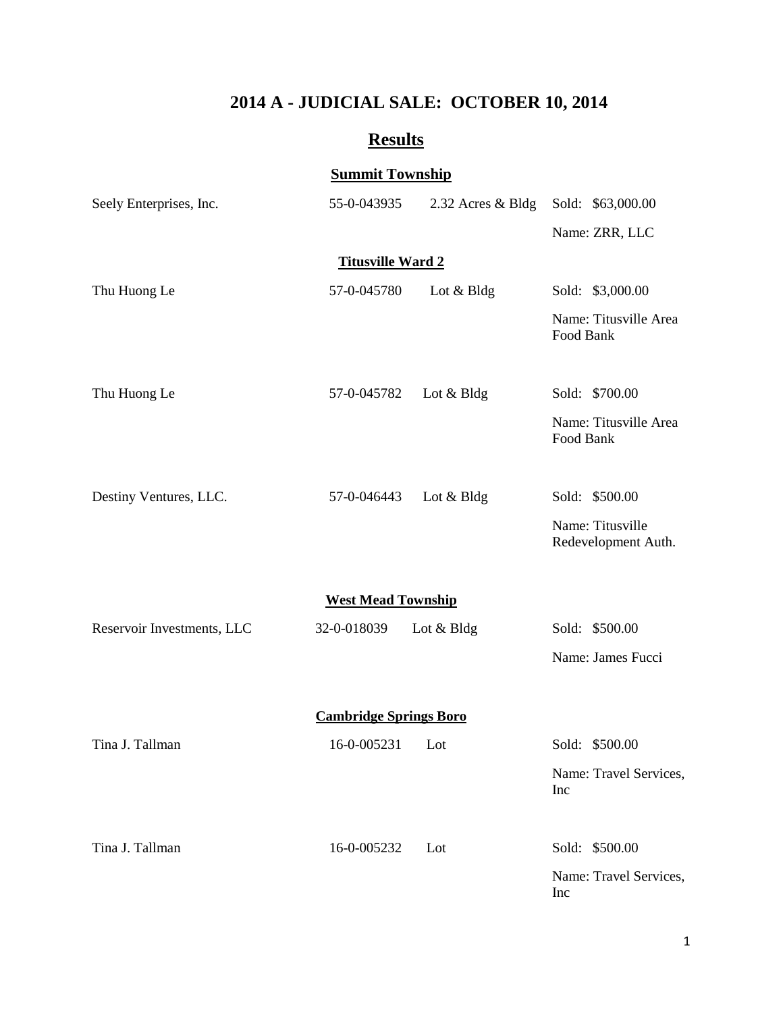# **2014 A - JUDICIAL SALE: OCTOBER 10, 2014**

# **Results**

## **Summit Township**

| Seely Enterprises, Inc.       | 55-0-043935 | 2.32 Acres & Bldg | Sold: \$63,000.00                       |  |  |  |
|-------------------------------|-------------|-------------------|-----------------------------------------|--|--|--|
|                               |             |                   | Name: ZRR, LLC                          |  |  |  |
| <b>Titusville Ward 2</b>      |             |                   |                                         |  |  |  |
| Thu Huong Le                  | 57-0-045780 | Lot & Bldg        | Sold: \$3,000.00                        |  |  |  |
|                               |             |                   | Name: Titusville Area<br>Food Bank      |  |  |  |
| Thu Huong Le                  | 57-0-045782 | Lot & Bldg        | Sold: \$700.00                          |  |  |  |
|                               |             |                   | Name: Titusville Area<br>Food Bank      |  |  |  |
| Destiny Ventures, LLC.        | 57-0-046443 | Lot & Bldg        | Sold: \$500.00                          |  |  |  |
|                               |             |                   | Name: Titusville<br>Redevelopment Auth. |  |  |  |
| <b>West Mead Township</b>     |             |                   |                                         |  |  |  |
| Reservoir Investments, LLC    | 32-0-018039 | Lot & Bldg        | Sold: \$500.00                          |  |  |  |
|                               |             |                   | Name: James Fucci                       |  |  |  |
| <b>Cambridge Springs Boro</b> |             |                   |                                         |  |  |  |
| Tina J. Tallman               | 16-0-005231 | Lot               | Sold: \$500.00                          |  |  |  |
|                               |             |                   | Name: Travel Services,<br>Inc           |  |  |  |
| Tina J. Tallman               | 16-0-005232 | Lot               | Sold: \$500.00                          |  |  |  |
|                               |             |                   | Name: Travel Services,<br>Inc           |  |  |  |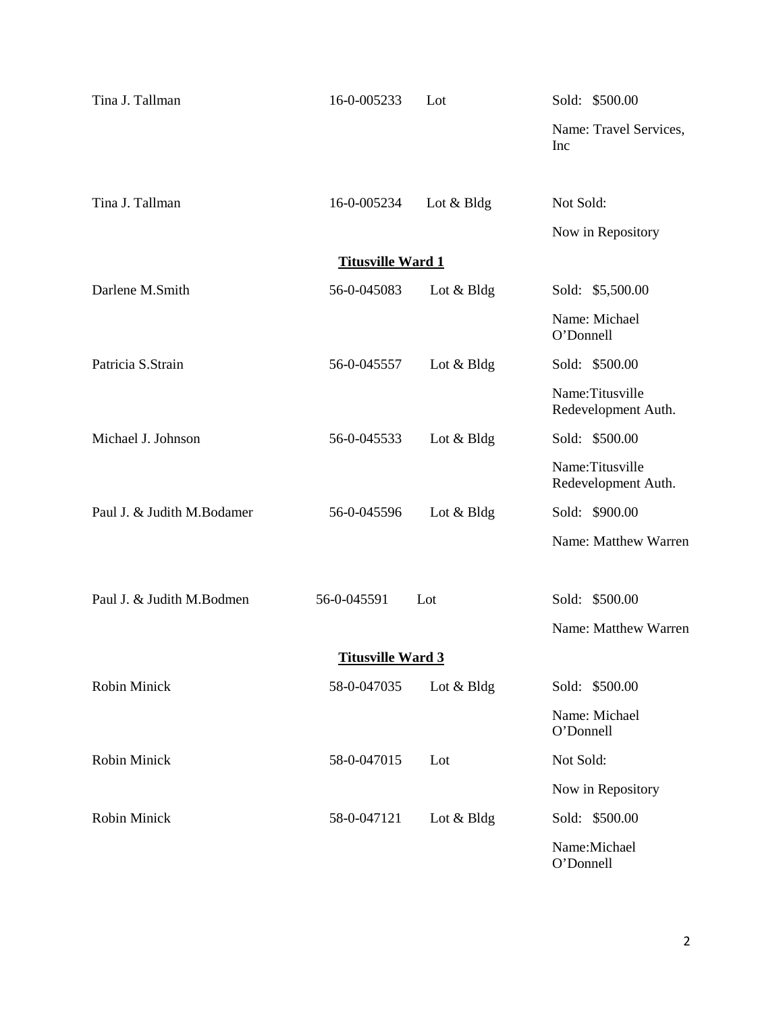| Tina J. Tallman            | 16-0-005233 | Lot             | Sold: \$500.00                         |  |  |  |
|----------------------------|-------------|-----------------|----------------------------------------|--|--|--|
|                            |             |                 | Name: Travel Services,<br>Inc          |  |  |  |
| Tina J. Tallman            | 16-0-005234 | Lot & Bldg      | Not Sold:                              |  |  |  |
|                            |             |                 | Now in Repository                      |  |  |  |
| <b>Titusville Ward 1</b>   |             |                 |                                        |  |  |  |
| Darlene M.Smith            | 56-0-045083 | Lot $& B \, dg$ | Sold: \$5,500.00                       |  |  |  |
|                            |             |                 | Name: Michael<br>O'Donnell             |  |  |  |
| Patricia S.Strain          | 56-0-045557 | Lot & Bldg      | Sold: \$500.00                         |  |  |  |
|                            |             |                 | Name:Titusville<br>Redevelopment Auth. |  |  |  |
| Michael J. Johnson         | 56-0-045533 | Lot & Bldg      | Sold: \$500.00                         |  |  |  |
|                            |             |                 | Name:Titusville<br>Redevelopment Auth. |  |  |  |
| Paul J. & Judith M.Bodamer | 56-0-045596 | Lot & Bldg      | Sold: \$900.00                         |  |  |  |
|                            |             |                 | Name: Matthew Warren                   |  |  |  |
| Paul J. & Judith M.Bodmen  | 56-0-045591 | Lot             | Sold: \$500.00                         |  |  |  |
|                            |             |                 | Name: Matthew Warren                   |  |  |  |
| <b>Titusville Ward 3</b>   |             |                 |                                        |  |  |  |
| Robin Minick               | 58-0-047035 | Lot $& Bldg$    | Sold: \$500.00                         |  |  |  |
|                            |             |                 | Name: Michael<br>O'Donnell             |  |  |  |
| Robin Minick               | 58-0-047015 | Lot             | Not Sold:                              |  |  |  |
|                            |             |                 | Now in Repository                      |  |  |  |
| <b>Robin Minick</b>        | 58-0-047121 | Lot & Bldg      | Sold: \$500.00                         |  |  |  |
|                            |             |                 | Name:Michael<br>O'Donnell              |  |  |  |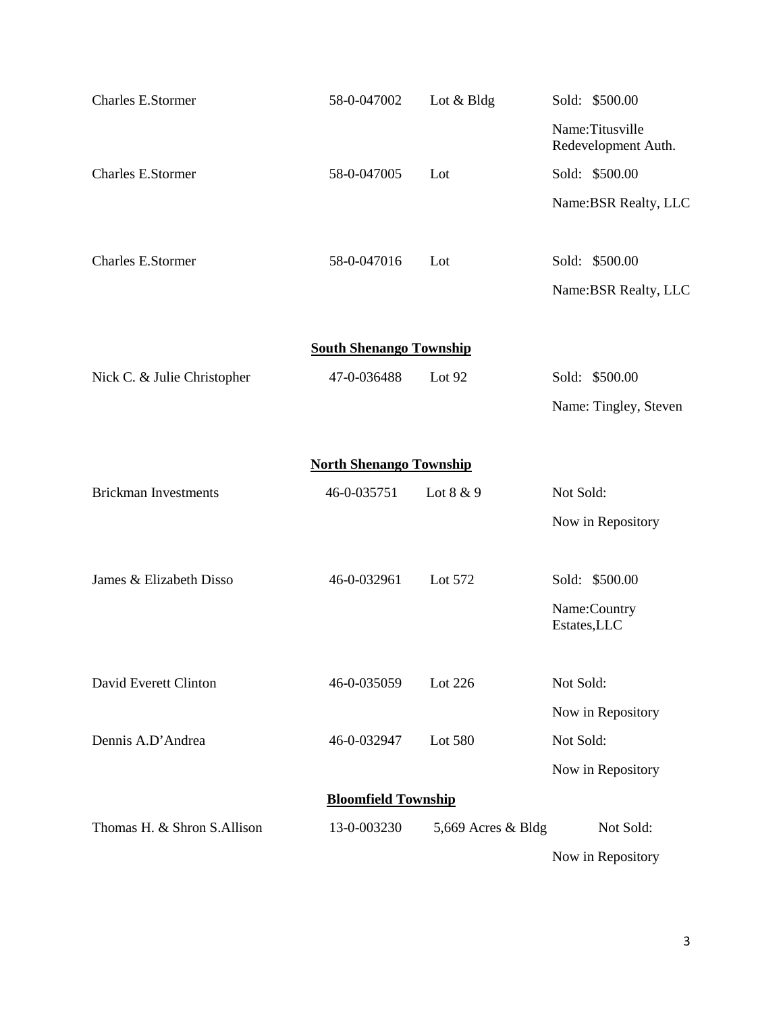| <b>Charles E.Stormer</b>       | 58-0-047002                    | Lot & Bldg         | Sold: \$500.00                         |  |  |  |
|--------------------------------|--------------------------------|--------------------|----------------------------------------|--|--|--|
|                                |                                |                    | Name:Titusville<br>Redevelopment Auth. |  |  |  |
| Charles E.Stormer              | 58-0-047005                    | Lot                | Sold: \$500.00                         |  |  |  |
|                                |                                |                    | Name: BSR Realty, LLC                  |  |  |  |
|                                |                                |                    |                                        |  |  |  |
| Charles E.Stormer              | 58-0-047016                    | Lot                | Sold: \$500.00                         |  |  |  |
|                                |                                |                    | Name: BSR Realty, LLC                  |  |  |  |
|                                |                                |                    |                                        |  |  |  |
|                                | <b>South Shenango Township</b> |                    |                                        |  |  |  |
| Nick C. & Julie Christopher    | 47-0-036488                    | Lot 92             | Sold: \$500.00                         |  |  |  |
|                                |                                |                    | Name: Tingley, Steven                  |  |  |  |
| <b>North Shenango Township</b> |                                |                    |                                        |  |  |  |
| <b>Brickman Investments</b>    | 46-0-035751                    | Lot 8 & 9          | Not Sold:                              |  |  |  |
|                                |                                |                    | Now in Repository                      |  |  |  |
|                                |                                |                    |                                        |  |  |  |
| James & Elizabeth Disso        | 46-0-032961                    | Lot 572            | Sold: \$500.00                         |  |  |  |
|                                |                                |                    | Name:Country<br>Estates, LLC           |  |  |  |
|                                |                                |                    |                                        |  |  |  |
| David Everett Clinton          | 46-0-035059                    | Lot 226            | Not Sold:                              |  |  |  |
|                                |                                |                    | Now in Repository                      |  |  |  |
| Dennis A.D'Andrea              | 46-0-032947                    | Lot 580            | Not Sold:                              |  |  |  |
|                                |                                |                    | Now in Repository                      |  |  |  |
| <b>Bloomfield Township</b>     |                                |                    |                                        |  |  |  |
| Thomas H. & Shron S.Allison    | 13-0-003230                    | 5,669 Acres & Bldg | Not Sold:                              |  |  |  |
|                                |                                |                    | Now in Repository                      |  |  |  |